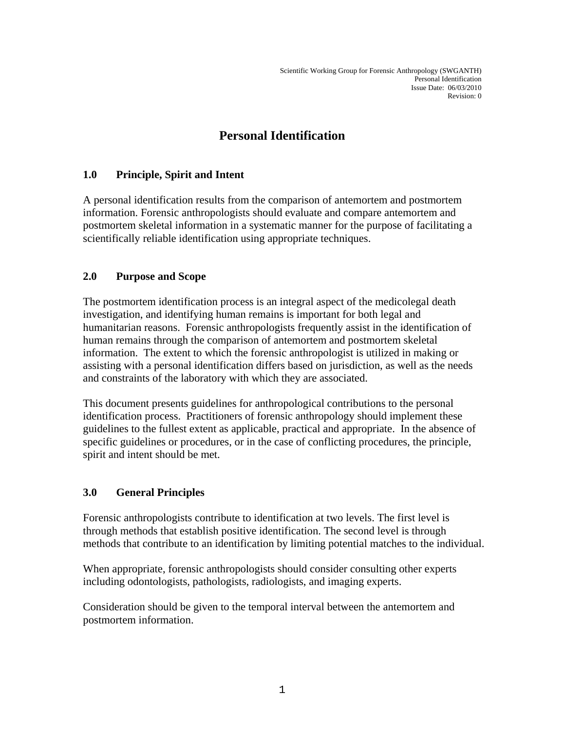# **Personal Identification**

# **1.0 Principle, Spirit and Intent**

A personal identification results from the comparison of antemortem and postmortem information. Forensic anthropologists should evaluate and compare antemortem and postmortem skeletal information in a systematic manner for the purpose of facilitating a scientifically reliable identification using appropriate techniques.

# **2.0 Purpose and Scope**

The postmortem identification process is an integral aspect of the medicolegal death investigation, and identifying human remains is important for both legal and humanitarian reasons. Forensic anthropologists frequently assist in the identification of human remains through the comparison of antemortem and postmortem skeletal information. The extent to which the forensic anthropologist is utilized in making or assisting with a personal identification differs based on jurisdiction, as well as the needs and constraints of the laboratory with which they are associated.

This document presents guidelines for anthropological contributions to the personal identification process. Practitioners of forensic anthropology should implement these guidelines to the fullest extent as applicable, practical and appropriate. In the absence of specific guidelines or procedures, or in the case of conflicting procedures, the principle, spirit and intent should be met.

# **3.0 General Principles**

Forensic anthropologists contribute to identification at two levels. The first level is through methods that establish positive identification. The second level is through methods that contribute to an identification by limiting potential matches to the individual.

When appropriate, forensic anthropologists should consider consulting other experts including odontologists, pathologists, radiologists, and imaging experts.

Consideration should be given to the temporal interval between the antemortem and postmortem information.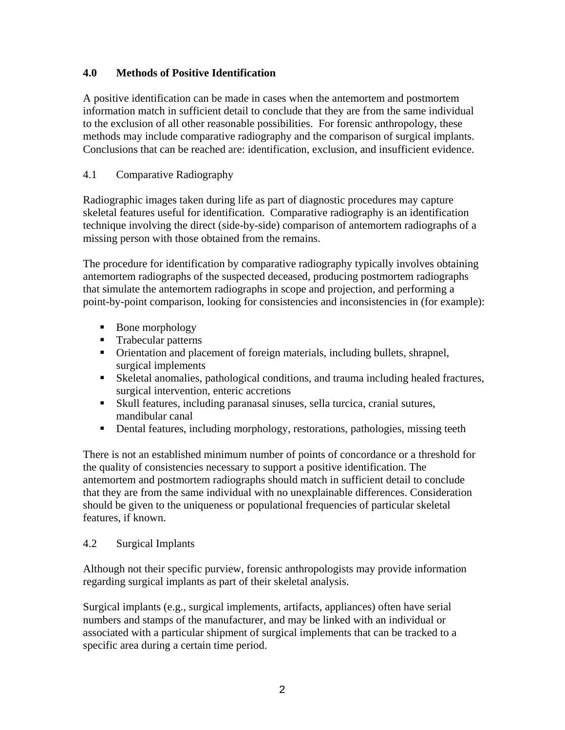## **4.0 Methods of Positive Identification**

A positive identification can be made in cases when the antemortem and postmortem information match in sufficient detail to conclude that they are from the same individual to the exclusion of all other reasonable possibilities. For forensic anthropology, these methods may include comparative radiography and the comparison of surgical implants. Conclusions that can be reached are: identification, exclusion, and insufficient evidence.

### 4.1 Comparative Radiography

Radiographic images taken during life as part of diagnostic procedures may capture skeletal features useful for identification. Comparative radiography is an identification technique involving the direct (side-by-side) comparison of antemortem radiographs of a missing person with those obtained from the remains.

The procedure for identification by comparative radiography typically involves obtaining antemortem radiographs of the suspected deceased, producing postmortem radiographs that simulate the antemortem radiographs in scope and projection, and performing a point-by-point comparison, looking for consistencies and inconsistencies in (for example):

- Bone morphology
- **Trabecular patterns**
- Orientation and placement of foreign materials, including bullets, shrapnel, surgical implements
- Skeletal anomalies, pathological conditions, and trauma including healed fractures, surgical intervention, enteric accretions
- Skull features, including paranasal sinuses, sella turcica, cranial sutures, mandibular canal
- Dental features, including morphology, restorations, pathologies, missing teeth

There is not an established minimum number of points of concordance or a threshold for the quality of consistencies necessary to support a positive identification. The antemortem and postmortem radiographs should match in sufficient detail to conclude that they are from the same individual with no unexplainable differences. Consideration should be given to the uniqueness or populational frequencies of particular skeletal features, if known.

#### 4.2 Surgical Implants

Although not their specific purview, forensic anthropologists may provide information regarding surgical implants as part of their skeletal analysis.

Surgical implants (e.g., surgical implements, artifacts, appliances) often have serial numbers and stamps of the manufacturer, and may be linked with an individual or associated with a particular shipment of surgical implements that can be tracked to a specific area during a certain time period.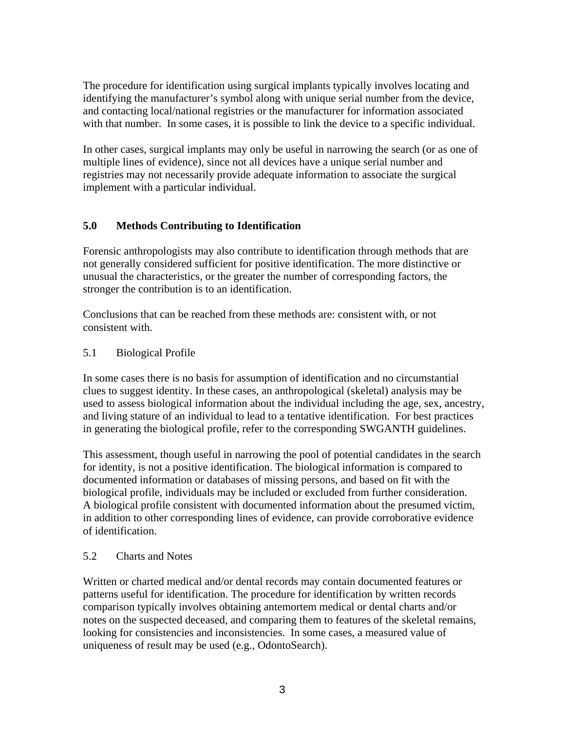The procedure for identification using surgical implants typically involves locating and identifying the manufacturer's symbol along with unique serial number from the device, and contacting local/national registries or the manufacturer for information associated with that number. In some cases, it is possible to link the device to a specific individual.

In other cases, surgical implants may only be useful in narrowing the search (or as one of multiple lines of evidence), since not all devices have a unique serial number and registries may not necessarily provide adequate information to associate the surgical implement with a particular individual.

## **5.0 Methods Contributing to Identification**

Forensic anthropologists may also contribute to identification through methods that are not generally considered sufficient for positive identification. The more distinctive or unusual the characteristics, or the greater the number of corresponding factors, the stronger the contribution is to an identification.

Conclusions that can be reached from these methods are: consistent with, or not consistent with.

#### 5.1 Biological Profile

In some cases there is no basis for assumption of identification and no circumstantial clues to suggest identity. In these cases, an anthropological (skeletal) analysis may be used to assess biological information about the individual including the age, sex, ancestry, and living stature of an individual to lead to a tentative identification. For best practices in generating the biological profile, refer to the corresponding SWGANTH guidelines.

This assessment, though useful in narrowing the pool of potential candidates in the search for identity, is not a positive identification. The biological information is compared to documented information or databases of missing persons, and based on fit with the biological profile, individuals may be included or excluded from further consideration. A biological profile consistent with documented information about the presumed victim, in addition to other corresponding lines of evidence, can provide corroborative evidence of identification.

#### 5.2 Charts and Notes

Written or charted medical and/or dental records may contain documented features or patterns useful for identification. The procedure for identification by written records comparison typically involves obtaining antemortem medical or dental charts and/or notes on the suspected deceased, and comparing them to features of the skeletal remains, looking for consistencies and inconsistencies. In some cases, a measured value of uniqueness of result may be used (e.g., OdontoSearch).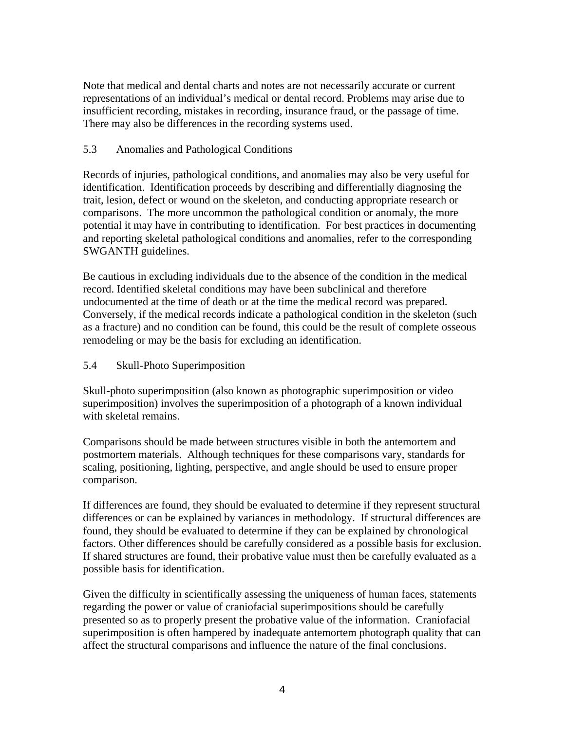Note that medical and dental charts and notes are not necessarily accurate or current representations of an individual's medical or dental record. Problems may arise due to insufficient recording, mistakes in recording, insurance fraud, or the passage of time. There may also be differences in the recording systems used.

#### 5.3 Anomalies and Pathological Conditions

Records of injuries, pathological conditions, and anomalies may also be very useful for identification. Identification proceeds by describing and differentially diagnosing the trait, lesion, defect or wound on the skeleton, and conducting appropriate research or comparisons. The more uncommon the pathological condition or anomaly, the more potential it may have in contributing to identification. For best practices in documenting and reporting skeletal pathological conditions and anomalies, refer to the corresponding SWGANTH guidelines.

Be cautious in excluding individuals due to the absence of the condition in the medical record. Identified skeletal conditions may have been subclinical and therefore undocumented at the time of death or at the time the medical record was prepared. Conversely, if the medical records indicate a pathological condition in the skeleton (such as a fracture) and no condition can be found, this could be the result of complete osseous remodeling or may be the basis for excluding an identification.

#### 5.4 Skull-Photo Superimposition

Skull-photo superimposition (also known as photographic superimposition or video superimposition) involves the superimposition of a photograph of a known individual with skeletal remains.

Comparisons should be made between structures visible in both the antemortem and postmortem materials. Although techniques for these comparisons vary, standards for scaling, positioning, lighting, perspective, and angle should be used to ensure proper comparison.

If differences are found, they should be evaluated to determine if they represent structural differences or can be explained by variances in methodology. If structural differences are found, they should be evaluated to determine if they can be explained by chronological factors. Other differences should be carefully considered as a possible basis for exclusion. If shared structures are found, their probative value must then be carefully evaluated as a possible basis for identification.

Given the difficulty in scientifically assessing the uniqueness of human faces, statements regarding the power or value of craniofacial superimpositions should be carefully presented so as to properly present the probative value of the information. Craniofacial superimposition is often hampered by inadequate antemortem photograph quality that can affect the structural comparisons and influence the nature of the final conclusions.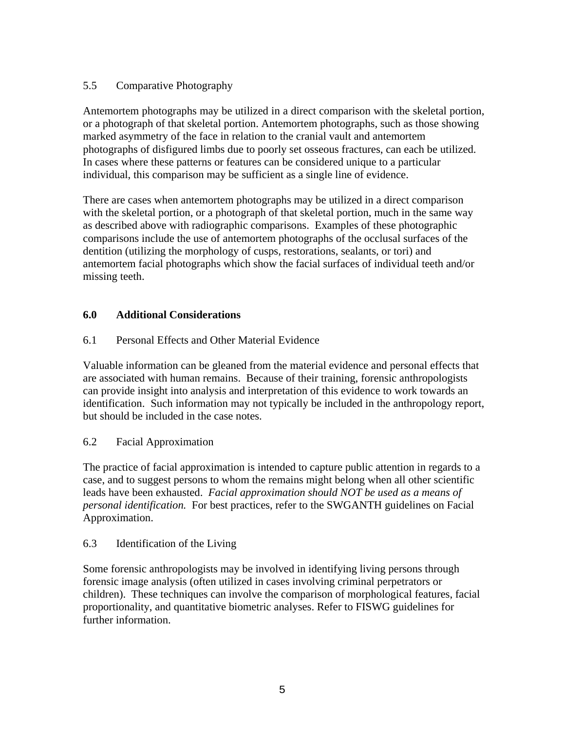## 5.5 Comparative Photography

Antemortem photographs may be utilized in a direct comparison with the skeletal portion, or a photograph of that skeletal portion. Antemortem photographs, such as those showing marked asymmetry of the face in relation to the cranial vault and antemortem photographs of disfigured limbs due to poorly set osseous fractures, can each be utilized. In cases where these patterns or features can be considered unique to a particular individual, this comparison may be sufficient as a single line of evidence.

There are cases when antemortem photographs may be utilized in a direct comparison with the skeletal portion, or a photograph of that skeletal portion, much in the same way as described above with radiographic comparisons. Examples of these photographic comparisons include the use of antemortem photographs of the occlusal surfaces of the dentition (utilizing the morphology of cusps, restorations, sealants, or tori) and antemortem facial photographs which show the facial surfaces of individual teeth and/or missing teeth.

## **6.0 Additional Considerations**

## 6.1 Personal Effects and Other Material Evidence

Valuable information can be gleaned from the material evidence and personal effects that are associated with human remains. Because of their training, forensic anthropologists can provide insight into analysis and interpretation of this evidence to work towards an identification. Such information may not typically be included in the anthropology report, but should be included in the case notes.

#### 6.2 Facial Approximation

The practice of facial approximation is intended to capture public attention in regards to a case, and to suggest persons to whom the remains might belong when all other scientific leads have been exhausted. *Facial approximation should NOT be used as a means of personal identification.* For best practices, refer to the SWGANTH guidelines on Facial Approximation.

#### 6.3 Identification of the Living

Some forensic anthropologists may be involved in identifying living persons through forensic image analysis (often utilized in cases involving criminal perpetrators or children). These techniques can involve the comparison of morphological features, facial proportionality, and quantitative biometric analyses. Refer to FISWG guidelines for further information.